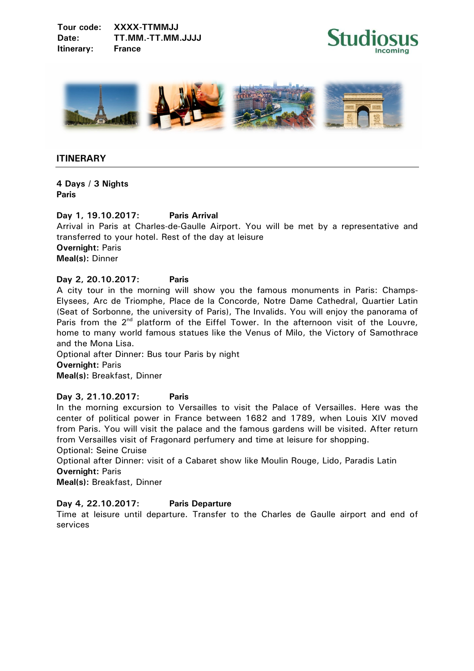**Tour code: XXXX-TTMMJJ Date: TT.MM.-TT.MM.JJJJ Itinerary: France** 





## **ITINERARY**

**4 Days / 3 Nights Paris** 

# **Day 1, 19.10.2017: Paris Arrival**

Arrival in Paris at Charles-de-Gaulle Airport. You will be met by a representative and transferred to your hotel. Rest of the day at leisure **Overnight:** Paris **Meal(s):** Dinner

## **Day 2, 20.10.2017: Paris**

A city tour in the morning will show you the famous monuments in Paris: Champs-Elysees, Arc de Triomphe, Place de la Concorde, Notre Dame Cathedral, Quartier Latin (Seat of Sorbonne, the university of Paris), The Invalids. You will enjoy the panorama of Paris from the  $2^{nd}$  platform of the Eiffel Tower. In the afternoon visit of the Louvre, home to many world famous statues like the Venus of Milo, the Victory of Samothrace and the Mona Lisa.

Optional after Dinner: Bus tour Paris by night **Overnight:** Paris **Meal(s):** Breakfast, Dinner

# **Day 3, 21.10.2017: Paris**

In the morning excursion to Versailles to visit the Palace of Versailles. Here was the center of political power in France between 1682 and 1789, when Louis XIV moved from Paris. You will visit the palace and the famous gardens will be visited. After return from Versailles visit of Fragonard perfumery and time at leisure for shopping. Optional: Seine Cruise

Optional after Dinner: visit of a Cabaret show like Moulin Rouge, Lido, Paradis Latin **Overnight:** Paris

**Meal(s):** Breakfast, Dinner

# **Day 4, 22.10.2017: Paris Departure**

Time at leisure until departure. Transfer to the Charles de Gaulle airport and end of services